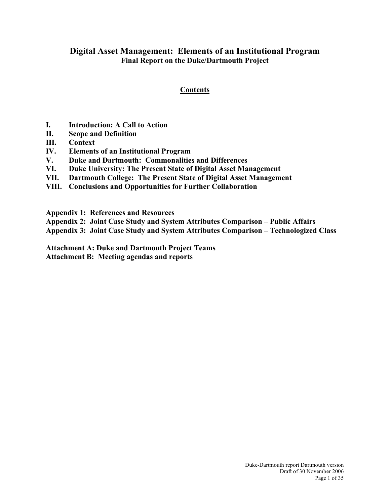# **Digital Asset Management: Elements of an Institutional Program Final Report on the Duke/Dartmouth Project**

# **Contents**

- **I. Introduction: A Call to Action**
- **II. Scope and Definition**
- **III. Context**
- **IV. Elements of an Institutional Program**
- **V. Duke and Dartmouth: Commonalities and Differences**
- **VI. Duke University: The Present State of Digital Asset Management**
- **VII. Dartmouth College: The Present State of Digital Asset Management**
- **VIII. Conclusions and Opportunities for Further Collaboration**
- **Appendix 1: References and Resources**
- **Appendix 2: Joint Case Study and System Attributes Comparison – Public Affairs**
- **Appendix 3: Joint Case Study and System Attributes Comparison – Technologized Class**

**Attachment A: Duke and Dartmouth Project Teams**

**Attachment B: Meeting agendas and reports**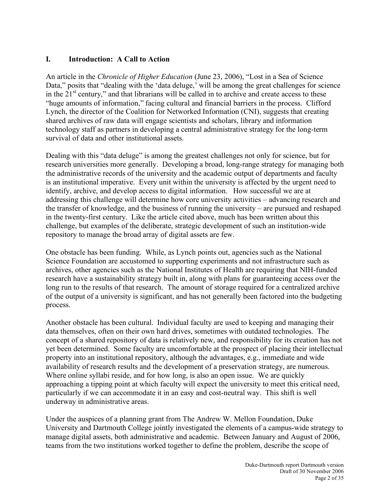## **I. Introduction: A Call to Action**

An article in the *Chronicle of Higher Education* (June 23, 2006), "Lost in a Sea of Science Data," posits that "dealing with the 'data deluge,' will be among the great challenges for science in the  $21<sup>st</sup>$  century," and that librarians will be called in to archive and create access to these "huge amounts of information," facing cultural and financial barriers in the process. Clifford Lynch, the director of the Coalition for Networked Information (CNI), suggests that creating shared archives of raw data will engage scientists and scholars, library and information technology staff as partners in developing a central administrative strategy for the long-term survival of data and other institutional assets.

Dealing with this "data deluge" is among the greatest challenges not only for science, but for research universities more generally. Developing a broad, long-range strategy for managing both the administrative records of the university and the academic output of departments and faculty is an institutional imperative. Every unit within the university is affected by the urgent need to identify, archive, and develop access to digital information. How successful we are at addressing this challenge will determine how core university activities – advancing research and the transfer of knowledge, and the business of running the university – are pursued and reshaped in the twenty-first century. Like the article cited above, much has been written about this challenge, but examples of the deliberate, strategic development of such an institution-wide repository to manage the broad array of digital assets are few.

One obstacle has been funding. While, as Lynch points out, agencies such as the National Science Foundation are accustomed to supporting experiments and not infrastructure such as archives, other agencies such as the National Institutes of Health are requiring that NIH-funded research have a sustainability strategy built in, along with plans for guaranteeing access over the long run to the results of that research. The amount of storage required for a centralized archive of the output of a university is significant, and has not generally been factored into the budgeting process.

Another obstacle has been cultural. Individual faculty are used to keeping and managing their data themselves, often on their own hard drives, sometimes with outdated technologies. The concept of a shared repository of data is relatively new, and responsibility for its creation has not yet been determined. Some faculty are uncomfortable at the prospect of placing their intellectual property into an institutional repository, although the advantages, e.g., immediate and wide availability of research results and the development of a preservation strategy, are numerous. Where online syllabi reside, and for how long, is also an open issue. We are quickly approaching a tipping point at which faculty will expect the university to meet this critical need, particularly if we can accommodate it in an easy and cost-neutral way. This shift is well underway in administrative areas.

Under the auspices of a planning grant from The Andrew W. Mellon Foundation, Duke University and Dartmouth College jointly investigated the elements of a campus-wide strategy to manage digital assets, both administrative and academic. Between January and August of 2006, teams from the two institutions worked together to define the problem, describe the scope of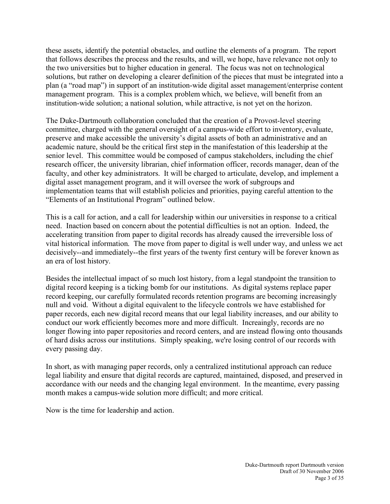these assets, identify the potential obstacles, and outline the elements of a program. The report that follows describes the process and the results, and will, we hope, have relevance not only to the two universities but to higher education in general. The focus was not on technological solutions, but rather on developing a clearer definition of the pieces that must be integrated into a plan (a "road map") in support of an institution-wide digital asset management/enterprise content management program. This is a complex problem which, we believe, will benefit from an institution-wide solution; a national solution, while attractive, is not yet on the horizon.

The Duke-Dartmouth collaboration concluded that the creation of a Provost-level steering committee, charged with the general oversight of a campus-wide effort to inventory, evaluate, preserve and make accessible the university's digital assets of both an administrative and an academic nature, should be the critical first step in the manifestation of this leadership at the senior level. This committee would be composed of campus stakeholders, including the chief research officer, the university librarian, chief information officer, records manager, dean of the faculty, and other key administrators. It will be charged to articulate, develop, and implement a digital asset management program, and it will oversee the work of subgroups and implementation teams that will establish policies and priorities, paying careful attention to the "Elements of an Institutional Program" outlined below.

This is a call for action, and a call for leadership within our universities in response to a critical need. Inaction based on concern about the potential difficulties is not an option. Indeed, the accelerating transition from paper to digital records has already caused the irreversible loss of vital historical information. The move from paper to digital is well under way, and unless we act decisively--and immediately--the first years of the twenty first century will be forever known as an era of lost history.

Besides the intellectual impact of so much lost history, from a legal standpoint the transition to digital record keeping is a ticking bomb for our institutions. As digital systems replace paper record keeping, our carefully formulated records retention programs are becoming increasingly null and void. Without a digital equivalent to the lifecycle controls we have established for paper records, each new digital record means that our legal liability increases, and our ability to conduct our work efficiently becomes more and more difficult. Increaingly, records are no longer flowing into paper repositories and record centers, and are instead flowing onto thousands of hard disks across our institutions. Simply speaking, we're losing control of our records with every passing day.

In short, as with managing paper records, only a centralized institutional approach can reduce legal liability and ensure that digital records are captured, maintained, disposed, and preserved in accordance with our needs and the changing legal environment. In the meantime, every passing month makes a campus-wide solution more difficult; and more critical.

Now is the time for leadership and action.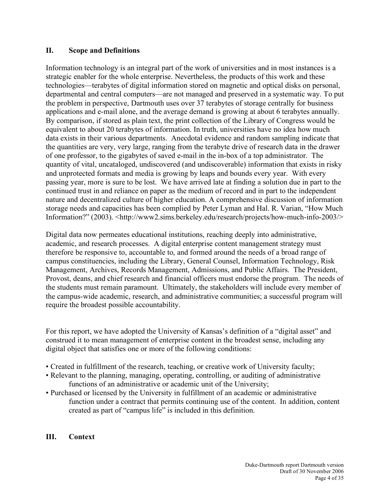## **II. Scope and Definitions**

Information technology is an integral part of the work of universities and in most instances is a strategic enabler for the whole enterprise. Nevertheless, the products of this work and these technologies—terabytes of digital information stored on magnetic and optical disks on personal, departmental and central computers—are not managed and preserved in a systematic way. To put the problem in perspective, Dartmouth uses over 37 terabytes of storage centrally for business applications and e-mail alone, and the average demand is growing at about 6 terabytes annually. By comparison, if stored as plain text, the print collection of the Library of Congress would be equivalent to about 20 terabytes of information. In truth, universities have no idea how much data exists in their various departments. Anecdotal evidence and random sampling indicate that the quantities are very, very large, ranging from the terabyte drive of research data in the drawer of one professor, to the gigabytes of saved e-mail in the in-box of a top administrator. The quantity of vital, uncataloged, undiscovered (and undiscoverable) information that exists in risky and unprotected formats and media is growing by leaps and bounds every year. With every passing year, more is sure to be lost. We have arrived late at finding a solution due in part to the continued trust in and reliance on paper as the medium of record and in part to the independent nature and decentralized culture of higher education. A comprehensive discussion of information storage needs and capacities has been complied by Peter Lyman and Hal. R. Varian, "How Much Information?" (2003). <http://www2.sims.berkeley.edu/research/projects/how-much-info-2003/>

Digital data now permeates educational institutions, reaching deeply into administrative, academic, and research processes. A digital enterprise content management strategy must therefore be responsive to, accountable to, and formed around the needs of a broad range of campus constituencies, including the Library, General Counsel, Information Technology, Risk Management, Archives, Records Management, Admissions, and Public Affairs. The President, Provost, deans, and chief research and financial officers must endorse the program. The needs of the students must remain paramount. Ultimately, the stakeholders will include every member of the campus-wide academic, research, and administrative communities; a successful program will require the broadest possible accountability.

For this report, we have adopted the University of Kansas's definition of a "digital asset" and construed it to mean management of enterprise content in the broadest sense, including any digital object that satisfies one or more of the following conditions:

- Created in fulfillment of the research, teaching, or creative work of University faculty;
- Relevant to the planning, managing, operating, controlling, or auditing of administrative functions of an administrative or academic unit of the University;
- Purchased or licensed by the University in fulfillment of an academic or administrative function under a contract that permits continuing use of the content. In addition, content created as part of "campus life" is included in this definition.

## **III. Context**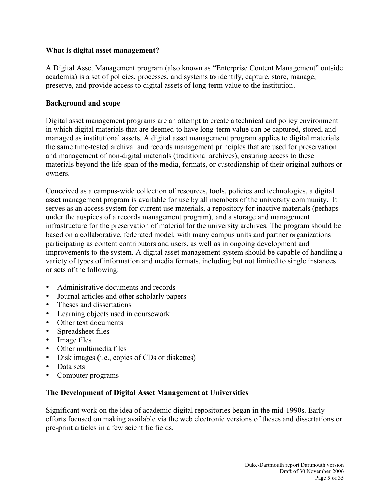## **What is digital asset management?**

A Digital Asset Management program (also known as "Enterprise Content Management" outside academia) is a set of policies, processes, and systems to identify, capture, store, manage, preserve, and provide access to digital assets of long-term value to the institution.

### **Background and scope**

Digital asset management programs are an attempt to create a technical and policy environment in which digital materials that are deemed to have long-term value can be captured, stored, and managed as institutional assets. A digital asset management program applies to digital materials the same time-tested archival and records management principles that are used for preservation and management of non-digital materials (traditional archives), ensuring access to these materials beyond the life-span of the media, formats, or custodianship of their original authors or owners.

Conceived as a campus-wide collection of resources, tools, policies and technologies, a digital asset management program is available for use by all members of the university community. It serves as an access system for current use materials, a repository for inactive materials (perhaps under the auspices of a records management program), and a storage and management infrastructure for the preservation of material for the university archives. The program should be based on a collaborative, federated model, with many campus units and partner organizations participating as content contributors and users, as well as in ongoing development and improvements to the system. A digital asset management system should be capable of handling a variety of types of information and media formats, including but not limited to single instances or sets of the following:

- Administrative documents and records
- Journal articles and other scholarly papers
- Theses and dissertations
- Learning objects used in coursework
- Other text documents
- Spreadsheet files
- Image files
- Other multimedia files
- Disk images (i.e., copies of CDs or diskettes)
- Data sets
- Computer programs

### **The Development of Digital Asset Management at Universities**

Significant work on the idea of academic digital repositories began in the mid-1990s. Early efforts focused on making available via the web electronic versions of theses and dissertations or pre-print articles in a few scientific fields.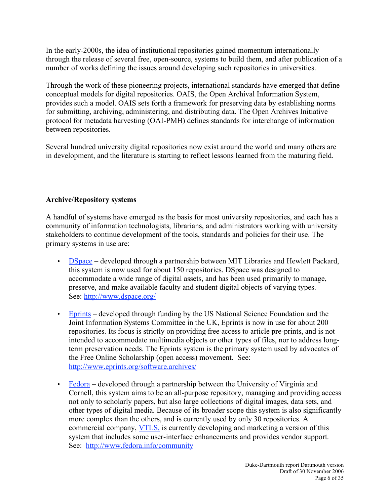In the early-2000s, the idea of institutional repositories gained momentum internationally through the release of several free, open-source, systems to build them, and after publication of a number of works defining the issues around developing such repositories in universities.

Through the work of these pioneering projects, international standards have emerged that define conceptual models for digital repositories. OAIS, the Open Archival Information System, provides such a model. OAIS sets forth a framework for preserving data by establishing norms for submitting, archiving, administering, and distributing data. The Open Archives Initiative protocol for metadata harvesting (OAI-PMH) defines standards for interchange of information between repositories.

Several hundred university digital repositories now exist around the world and many others are in development, and the literature is starting to reflect lessons learned from the maturing field.

# **Archive/Repository systems**

A handful of systems have emerged as the basis for most university repositories, and each has a community of information technologists, librarians, and administrators working with university stakeholders to continue development of the tools, standards and policies for their use. The primary systems in use are:

- DSpace developed through a partnership between MIT Libraries and Hewlett Packard, this system is now used for about 150 repositories. DSpace was designed to accommodate a wide range of digital assets, and has been used primarily to manage, preserve, and make available faculty and student digital objects of varying types. See: http://www.dspace.org/
- Eprints developed through funding by the US National Science Foundation and the Joint Information Systems Committee in the UK, Eprints is now in use for about 200 repositories. Its focus is strictly on providing free access to article pre-prints, and is not intended to accommodate multimedia objects or other types of files, nor to address longterm preservation needs. The Eprints system is the primary system used by advocates of the Free Online Scholarship (open access) movement. See: http://www.eprints.org/software.archives/
- Fedora developed through a partnership between the University of Virginia and Cornell, this system aims to be an all-purpose repository, managing and providing access not only to scholarly papers, but also large collections of digital images, data sets, and other types of digital media. Because of its broader scope this system is also significantly more complex than the others, and is currently used by only 30 repositories. A commercial company, VTLS, is currently developing and marketing a version of this system that includes some user-interface enhancements and provides vendor support. See: http://www.fedora.info/community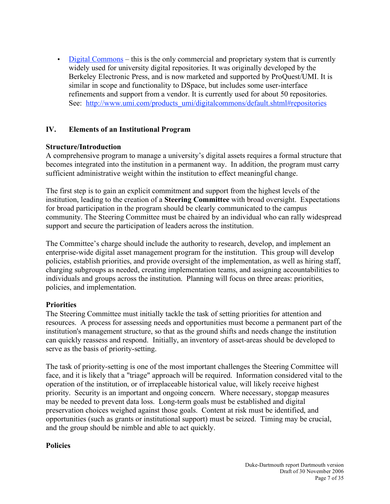• Digital Commons – this is the only commercial and proprietary system that is currently widely used for university digital repositories. It was originally developed by the Berkeley Electronic Press, and is now marketed and supported by ProQuest/UMI. It is similar in scope and functionality to DSpace, but includes some user-interface refinements and support from a vendor. It is currently used for about 50 repositories. See: http://www.umi.com/products\_umi/digitalcommons/default.shtml#repositories

# **IV. Elements of an Institutional Program**

## **Structure/Introduction**

A comprehensive program to manage a university's digital assets requires a formal structure that becomes integrated into the institution in a permanent way. In addition, the program must carry sufficient administrative weight within the institution to effect meaningful change.

The first step is to gain an explicit commitment and support from the highest levels of the institution, leading to the creation of a **Steering Committee** with broad oversight. Expectations for broad participation in the program should be clearly communicated to the campus community. The Steering Committee must be chaired by an individual who can rally widespread support and secure the participation of leaders across the institution.

The Committee's charge should include the authority to research, develop, and implement an enterprise-wide digital asset management program for the institution. This group will develop policies, establish priorities, and provide oversight of the implementation, as well as hiring staff, charging subgroups as needed, creating implementation teams, and assigning accountabilities to individuals and groups across the institution. Planning will focus on three areas: priorities, policies, and implementation.

### **Priorities**

The Steering Committee must initially tackle the task of setting priorities for attention and resources. A process for assessing needs and opportunities must become a permanent part of the institution's management structure, so that as the ground shifts and needs change the institution can quickly reassess and respond. Initially, an inventory of asset-areas should be developed to serve as the basis of priority-setting.

The task of priority-setting is one of the most important challenges the Steering Committee will face, and it is likely that a "triage" approach will be required. Information considered vital to the operation of the institution, or of irreplaceable historical value, will likely receive highest priority. Security is an important and ongoing concern. Where necessary, stopgap measures may be needed to prevent data loss. Long-term goals must be established and digital preservation choices weighed against those goals. Content at risk must be identified, and opportunities (such as grants or institutional support) must be seized. Timing may be crucial, and the group should be nimble and able to act quickly.

### **Policies**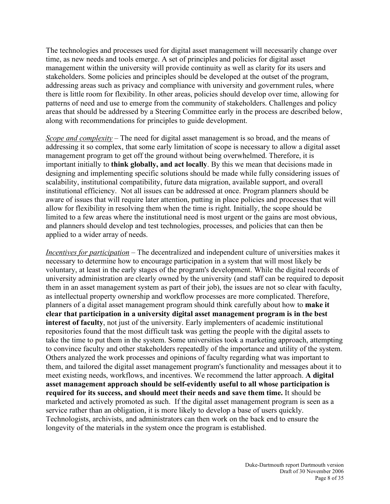The technologies and processes used for digital asset management will necessarily change over time, as new needs and tools emerge. A set of principles and policies for digital asset management within the university will provide continuity as well as clarity for its users and stakeholders. Some policies and principles should be developed at the outset of the program, addressing areas such as privacy and compliance with university and government rules, where there is little room for flexibility. In other areas, policies should develop over time, allowing for patterns of need and use to emerge from the community of stakeholders. Challenges and policy areas that should be addressed by a Steering Committee early in the process are described below, along with recommendations for principles to guide development.

*Scope and complexity* – The need for digital asset management is so broad, and the means of addressing it so complex, that some early limitation of scope is necessary to allow a digital asset management program to get off the ground without being overwhelmed. Therefore, it is important initially to **think globally, and act locally**. By this we mean that decisions made in designing and implementing specific solutions should be made while fully considering issues of scalability, institutional compatibility, future data migration, available support, and overall institutional efficiency. Not all issues can be addressed at once. Program planners should be aware of issues that will require later attention, putting in place policies and processes that will allow for flexibility in resolving them when the time is right. Initially, the scope should be limited to a few areas where the institutional need is most urgent or the gains are most obvious, and planners should develop and test technologies, processes, and policies that can then be applied to a wider array of needs.

*Incentives for participation* – The decentralized and independent culture of universities makes it necessary to determine how to encourage participation in a system that will most likely be voluntary, at least in the early stages of the program's development. While the digital records of university administration are clearly owned by the university (and staff can be required to deposit them in an asset management system as part of their job), the issues are not so clear with faculty, as intellectual property ownership and workflow processes are more complicated. Therefore, planners of a digital asset management program should think carefully about how to **make it clear that participation in a university digital asset management program is in the best interest of faculty**, not just of the university. Early implementers of academic institutional repositories found that the most difficult task was getting the people with the digital assets to take the time to put them in the system. Some universities took a marketing approach, attempting to convince faculty and other stakeholders repeatedly of the importance and utility of the system. Others analyzed the work processes and opinions of faculty regarding what was important to them, and tailored the digital asset management program's functionality and messages about it to meet existing needs, workflows, and incentives. We recommend the latter approach. **A digital asset management approach should be self-evidently useful to all whose participation is required for its success, and should meet their needs and save them time.** It should be marketed and actively promoted as such. If the digital asset management program is seen as a service rather than an obligation, it is more likely to develop a base of users quickly. Technologists, archivists, and administrators can then work on the back end to ensure the longevity of the materials in the system once the program is established.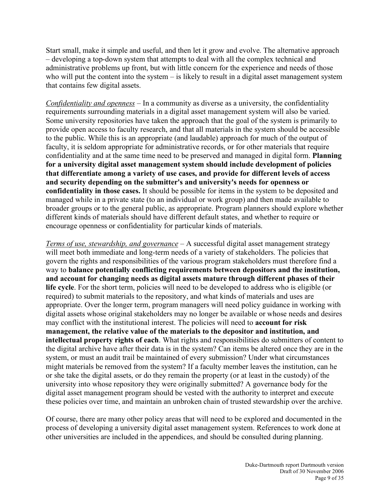Start small, make it simple and useful, and then let it grow and evolve. The alternative approach – developing a top-down system that attempts to deal with all the complex technical and administrative problems up front, but with little concern for the experience and needs of those who will put the content into the system – is likely to result in a digital asset management system that contains few digital assets.

*Confidentiality and openness* – In a community as diverse as a university, the confidentiality requirements surrounding materials in a digital asset management system will also be varied. Some university repositories have taken the approach that the goal of the system is primarily to provide open access to faculty research, and that all materials in the system should be accessible to the public. While this is an appropriate (and laudable) approach for much of the output of faculty, it is seldom appropriate for administrative records, or for other materials that require confidentiality and at the same time need to be preserved and managed in digital form. **Planning for a university digital asset management system should include development of policies that differentiate among a variety of use cases, and provide for different levels of access and security depending on the submitter's and university's needs for openness or confidentiality in those cases.** It should be possible for items in the system to be deposited and managed while in a private state (to an individual or work group) and then made available to broader groups or to the general public, as appropriate. Program planners should explore whether different kinds of materials should have different default states, and whether to require or encourage openness or confidentiality for particular kinds of materials.

*Terms of use, stewardship, and governance* – A successful digital asset management strategy will meet both immediate and long-term needs of a variety of stakeholders. The policies that govern the rights and responsibilities of the various program stakeholders must therefore find a way to **balance potentially conflicting requirements between depositors and the institution, and account for changing needs as digital assets mature through different phases of their life cycle**. For the short term, policies will need to be developed to address who is eligible (or required) to submit materials to the repository, and what kinds of materials and uses are appropriate. Over the longer term, program managers will need policy guidance in working with digital assets whose original stakeholders may no longer be available or whose needs and desires may conflict with the institutional interest. The policies will need to **account for risk management, the relative value of the materials to the depositor and institution, and intellectual property rights of each**. What rights and responsibilities do submitters of content to the digital archive have after their data is in the system? Can items be altered once they are in the system, or must an audit trail be maintained of every submission? Under what circumstances might materials be removed from the system? If a faculty member leaves the institution, can he or she take the digital assets, or do they remain the property (or at least in the custody) of the university into whose repository they were originally submitted? A governance body for the digital asset management program should be vested with the authority to interpret and execute these policies over time, and maintain an unbroken chain of trusted stewardship over the archive.

Of course, there are many other policy areas that will need to be explored and documented in the process of developing a university digital asset management system. References to work done at other universities are included in the appendices, and should be consulted during planning.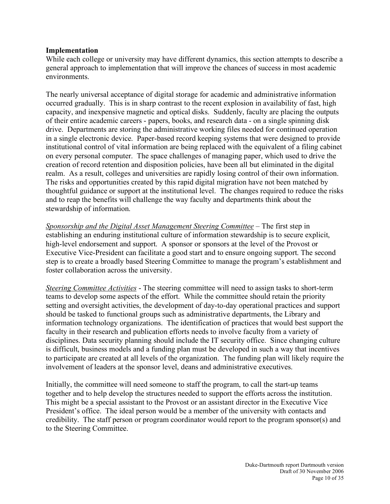### **Implementation**

While each college or university may have different dynamics, this section attempts to describe a general approach to implementation that will improve the chances of success in most academic environments.

The nearly universal acceptance of digital storage for academic and administrative information occurred gradually. This is in sharp contrast to the recent explosion in availability of fast, high capacity, and inexpensive magnetic and optical disks. Suddenly, faculty are placing the outputs of their entire academic careers - papers, books, and research data - on a single spinning disk drive. Departments are storing the administrative working files needed for continued operation in a single electronic device. Paper-based record keeping systems that were designed to provide institutional control of vital information are being replaced with the equivalent of a filing cabinet on every personal computer. The space challenges of managing paper, which used to drive the creation of record retention and disposition policies, have been all but eliminated in the digital realm. As a result, colleges and universities are rapidly losing control of their own information. The risks and opportunities created by this rapid digital migration have not been matched by thoughtful guidance or support at the institutional level. The changes required to reduce the risks and to reap the benefits will challenge the way faculty and departments think about the stewardship of information.

*Sponsorship and the Digital Asset Management Steering Committee* – The first step in establishing an enduring institutional culture of information stewardship is to secure explicit, high-level endorsement and support. A sponsor or sponsors at the level of the Provost or Executive Vice-President can facilitate a good start and to ensure ongoing support. The second step is to create a broadly based Steering Committee to manage the program's establishment and foster collaboration across the university.

*Steering Committee Activities* - The steering committee will need to assign tasks to short-term teams to develop some aspects of the effort. While the committee should retain the priority setting and oversight activities, the development of day-to-day operational practices and support should be tasked to functional groups such as administrative departments, the Library and information technology organizations. The identification of practices that would best support the faculty in their research and publication efforts needs to involve faculty from a variety of disciplines. Data security planning should include the IT security office. Since changing culture is difficult, business models and a funding plan must be developed in such a way that incentives to participate are created at all levels of the organization. The funding plan will likely require the involvement of leaders at the sponsor level, deans and administrative executives.

Initially, the committee will need someone to staff the program, to call the start-up teams together and to help develop the structures needed to support the efforts across the institution. This might be a special assistant to the Provost or an assistant director in the Executive Vice President's office. The ideal person would be a member of the university with contacts and credibility. The staff person or program coordinator would report to the program sponsor(s) and to the Steering Committee.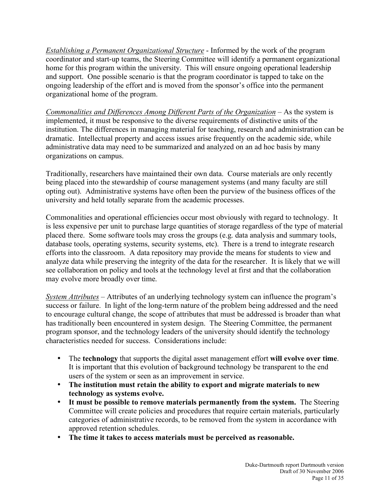*Establishing a Permanent Organizational Structure* - Informed by the work of the program coordinator and start-up teams, the Steering Committee will identify a permanent organizational home for this program within the university. This will ensure ongoing operational leadership and support. One possible scenario is that the program coordinator is tapped to take on the ongoing leadership of the effort and is moved from the sponsor's office into the permanent organizational home of the program.

*Commonalities and Differences Among Different Parts of the Organization* – As the system is implemented, it must be responsive to the diverse requirements of distinctive units of the institution. The differences in managing material for teaching, research and administration can be dramatic. Intellectual property and access issues arise frequently on the academic side, while administrative data may need to be summarized and analyzed on an ad hoc basis by many organizations on campus.

Traditionally, researchers have maintained their own data. Course materials are only recently being placed into the stewardship of course management systems (and many faculty are still opting out). Administrative systems have often been the purview of the business offices of the university and held totally separate from the academic processes.

Commonalities and operational efficiencies occur most obviously with regard to technology. It is less expensive per unit to purchase large quantities of storage regardless of the type of material placed there. Some software tools may cross the groups (e.g. data analysis and summary tools, database tools, operating systems, security systems, etc). There is a trend to integrate research efforts into the classroom. A data repository may provide the means for students to view and analyze data while preserving the integrity of the data for the researcher. It is likely that we will see collaboration on policy and tools at the technology level at first and that the collaboration may evolve more broadly over time.

*System Attributes* – Attributes of an underlying technology system can influence the program's success or failure. In light of the long-term nature of the problem being addressed and the need to encourage cultural change, the scope of attributes that must be addressed is broader than what has traditionally been encountered in system design. The Steering Committee, the permanent program sponsor, and the technology leaders of the university should identify the technology characteristics needed for success. Considerations include:

- The **technology** that supports the digital asset management effort **will evolve over time**. It is important that this evolution of background technology be transparent to the end users of the system or seen as an improvement in service.
- **The institution must retain the ability to export and migrate materials to new technology as systems evolve.**
- **It must be possible to remove materials permanently from the system.** The Steering Committee will create policies and procedures that require certain materials, particularly categories of administrative records, to be removed from the system in accordance with approved retention schedules.
- **The time it takes to access materials must be perceived as reasonable.**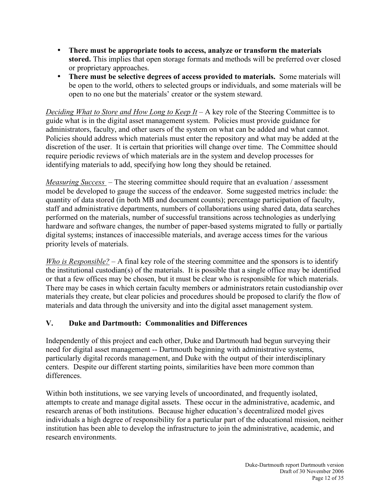- **There must be appropriate tools to access, analyze or transform the materials stored.** This implies that open storage formats and methods will be preferred over closed or proprietary approaches.
- **There must be selective degrees of access provided to materials.** Some materials will be open to the world, others to selected groups or individuals, and some materials will be open to no one but the materials' creator or the system steward.

*Deciding What to Store and How Long to Keep It* – A key role of the Steering Committee is to guide what is in the digital asset management system. Policies must provide guidance for administrators, faculty, and other users of the system on what can be added and what cannot. Policies should address which materials must enter the repository and what may be added at the discretion of the user. It is certain that priorities will change over time. The Committee should require periodic reviews of which materials are in the system and develop processes for identifying materials to add, specifying how long they should be retained.

*Measuring Success* – The steering committee should require that an evaluation / assessment model be developed to gauge the success of the endeavor. Some suggested metrics include: the quantity of data stored (in both MB and document counts); percentage participation of faculty, staff and administrative departments, numbers of collaborations using shared data, data searches performed on the materials, number of successful transitions across technologies as underlying hardware and software changes, the number of paper-based systems migrated to fully or partially digital systems; instances of inaccessible materials, and average access times for the various priority levels of materials.

*Who is Responsible?* – A final key role of the steering committee and the sponsors is to identify the institutional custodian(s) of the materials. It is possible that a single office may be identified or that a few offices may be chosen, but it must be clear who is responsible for which materials. There may be cases in which certain faculty members or administrators retain custodianship over materials they create, but clear policies and procedures should be proposed to clarify the flow of materials and data through the university and into the digital asset management system.

# **V. Duke and Dartmouth: Commonalities and Differences**

Independently of this project and each other, Duke and Dartmouth had begun surveying their need for digital asset management -- Dartmouth beginning with administrative systems, particularly digital records management, and Duke with the output of their interdisciplinary centers. Despite our different starting points, similarities have been more common than differences.

Within both institutions, we see varying levels of uncoordinated, and frequently isolated, attempts to create and manage digital assets. These occur in the administrative, academic, and research arenas of both institutions. Because higher education's decentralized model gives individuals a high degree of responsibility for a particular part of the educational mission, neither institution has been able to develop the infrastructure to join the administrative, academic, and research environments.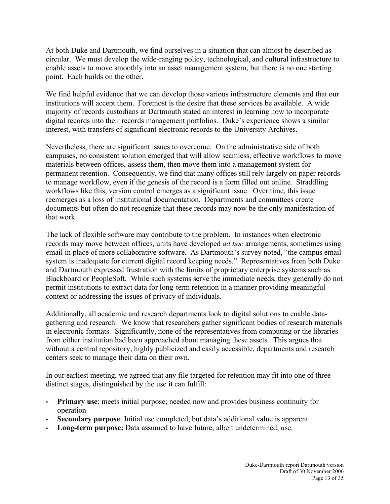At both Duke and Dartmouth, we find ourselves in a situation that can almost be described as circular. We must develop the wide-ranging policy, technological, and cultural infrastructure to enable assets to move smoothly into an asset management system, but there is no one starting point. Each builds on the other.

We find helpful evidence that we can develop those various infrastructure elements and that our institutions will accept them. Foremost is the desire that these services be available. A wide majority of records custodians at Dartmouth stated an interest in learning how to incorporate digital records into their records management portfolios. Duke's experience shows a similar interest, with transfers of significant electronic records to the University Archives.

Nevertheless, there are significant issues to overcome. On the administrative side of both campuses, no consistent solution emerged that will allow seamless, effective workflows to move materials between offices, assess them, then move them into a management system for permanent retention. Consequently, we find that many offices still rely largely on paper records to manage workflow, even if the genesis of the record is a form filled out online. Straddling workflows like this, version control emerges as a significant issue. Over time, this issue reemerges as a loss of institutional documentation. Departments and committees create documents but often do not recognize that these records may now be the only manifestation of that work.

The lack of flexible software may contribute to the problem. In instances when electronic records may move between offices, units have developed *ad hoc* arrangements, sometimes using email in place of more collaborative software. As Dartmouth's survey noted, "the campus email system is inadequate for current digital record keeping needs." Representatives from both Duke and Dartmouth expressed frustration with the limits of proprietary enterprise systems such as Blackboard or PeopleSoft. While such systems serve the immediate needs, they generally do not permit institutions to extract data for long-term retention in a manner providing meaningful context or addressing the issues of privacy of individuals.

Additionally, all academic and research departments look to digital solutions to enable datagathering and research. We know that researchers gather significant bodies of research materials in electronic formats. Significantly, none of the representatives from computing or the libraries from either institution had been approached about managing these assets. This argues that without a central repository, highly publicized and easily accessible, departments and research centers seek to manage their data on their own.

In our earliest meeting, we agreed that any file targeted for retention may fit into one of three distinct stages, distinguished by the use it can fulfill:

- **Primary use:** meets initial purpose; needed now and provides business continuity for operation
- **Secondary purpose**: Initial use completed, but data's additional value is apparent
- **Long-term purpose:** Data assumed to have future, albeit undetermined, use.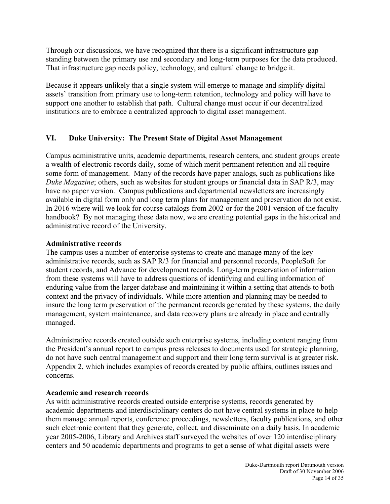Through our discussions, we have recognized that there is a significant infrastructure gap standing between the primary use and secondary and long-term purposes for the data produced. That infrastructure gap needs policy, technology, and cultural change to bridge it.

Because it appears unlikely that a single system will emerge to manage and simplify digital assets' transition from primary use to long-term retention, technology and policy will have to support one another to establish that path. Cultural change must occur if our decentralized institutions are to embrace a centralized approach to digital asset management.

# **VI. Duke University: The Present State of Digital Asset Management**

Campus administrative units, academic departments, research centers, and student groups create a wealth of electronic records daily, some of which merit permanent retention and all require some form of management. Many of the records have paper analogs, such as publications like *Duke Magazine*; others, such as websites for student groups or financial data in SAP R/3, may have no paper version. Campus publications and departmental newsletters are increasingly available in digital form only and long term plans for management and preservation do not exist. In 2016 where will we look for course catalogs from 2002 or for the 2001 version of the faculty handbook? By not managing these data now, we are creating potential gaps in the historical and administrative record of the University.

### **Administrative records**

The campus uses a number of enterprise systems to create and manage many of the key administrative records, such as SAP R/3 for financial and personnel records, PeopleSoft for student records, and Advance for development records. Long-term preservation of information from these systems will have to address questions of identifying and culling information of enduring value from the larger database and maintaining it within a setting that attends to both context and the privacy of individuals. While more attention and planning may be needed to insure the long term preservation of the permanent records generated by these systems, the daily management, system maintenance, and data recovery plans are already in place and centrally managed.

Administrative records created outside such enterprise systems, including content ranging from the President's annual report to campus press releases to documents used for strategic planning, do not have such central management and support and their long term survival is at greater risk. Appendix 2, which includes examples of records created by public affairs, outlines issues and concerns.

## **Academic and research records**

As with administrative records created outside enterprise systems, records generated by academic departments and interdisciplinary centers do not have central systems in place to help them manage annual reports, conference proceedings, newsletters, faculty publications, and other such electronic content that they generate, collect, and disseminate on a daily basis. In academic year 2005-2006, Library and Archives staff surveyed the websites of over 120 interdisciplinary centers and 50 academic departments and programs to get a sense of what digital assets were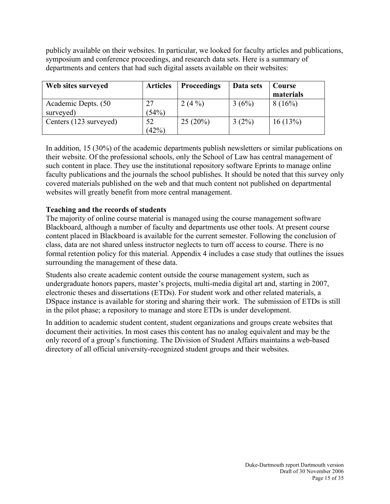publicly available on their websites. In particular, we looked for faculty articles and publications, symposium and conference proceedings, and research data sets. Here is a summary of departments and centers that had such digital assets available on their websites:

| Web sites surveyed                | <b>Articles</b> | <b>Proceedings</b> | Data sets | Course<br>materials |
|-----------------------------------|-----------------|--------------------|-----------|---------------------|
| Academic Depts. (50)<br>surveyed) | 27<br>(54%)     | $2(4\%)$           | 3(6%)     | 8(16%)              |
| Centers (123 surveyed)            | 52<br>(42%      | 25(20%)            | $3(2\%)$  | 16(13%)             |

In addition, 15 (30%) of the academic departments publish newsletters or similar publications on their website. Of the professional schools, only the School of Law has central management of such content in place. They use the institutional repository software Eprints to manage online faculty publications and the journals the school publishes. It should be noted that this survey only covered materials published on the web and that much content not published on departmental websites will greatly benefit from more central management.

# **Teaching and the records of students**

The majority of online course material is managed using the course management software Blackboard, although a number of faculty and departments use other tools. At present course content placed in Blackboard is available for the current semester. Following the conclusion of class, data are not shared unless instructor neglects to turn off access to course. There is no formal retention policy for this material. Appendix 4 includes a case study that outlines the issues surrounding the management of these data.

Students also create academic content outside the course management system, such as undergraduate honors papers, master's projects, multi-media digital art and, starting in 2007, electronic theses and dissertations (ETDs). For student work and other related materials, a DSpace instance is available for storing and sharing their work. The submission of ETDs is still in the pilot phase; a repository to manage and store ETDs is under development.

In addition to academic student content, student organizations and groups create websites that document their activities. In most cases this content has no analog equivalent and may be the only record of a group's functioning. The Division of Student Affairs maintains a web-based directory of all official university-recognized student groups and their websites.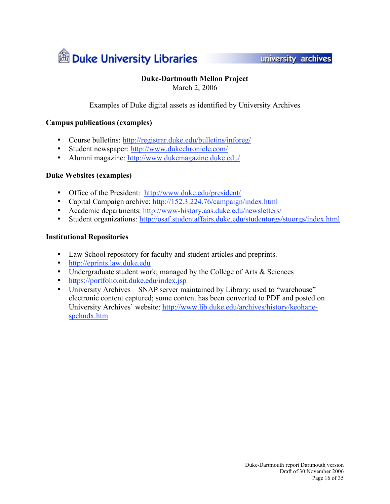

university archives

# **Duke-Dartmouth Mellon Project**

March 2, 2006

Examples of Duke digital assets as identified by University Archives

### **Campus publications (examples)**

- Course bulletins: http://registrar.duke.edu/bulletins/inforeg/
- Student newspaper: http://www.dukechronicle.com/
- Alumni magazine: http://www.dukemagazine.duke.edu/

### **Duke Websites (examples)**

- Office of the President: http://www.duke.edu/president/
- Capital Campaign archive: http://152.3.224.76/campaign/index.html
- Academic departments: http://www-history.aas.duke.edu/newsletters/
- Student organizations: http://osaf.studentaffairs.duke.edu/studentorgs/stuorgs/index.html

### **Institutional Repositories**

- Law School repository for faculty and student articles and preprints.
- http://eprints.law.duke.edu
- Undergraduate student work; managed by the College of Arts & Sciences
- https://portfolio.oit.duke.edu/index.jsp
- University Archives SNAP server maintained by Library; used to "warehouse" electronic content captured; some content has been converted to PDF and posted on University Archives' website: http://www.lib.duke.edu/archives/history/keohanespchndx.htm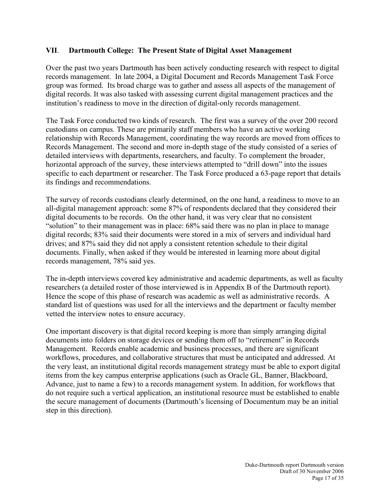### **VII**. **Dartmouth College: The Present State of Digital Asset Management**

Over the past two years Dartmouth has been actively conducting research with respect to digital records management. In late 2004, a Digital Document and Records Management Task Force group was formed. Its broad charge was to gather and assess all aspects of the management of digital records. It was also tasked with assessing current digital management practices and the institution's readiness to move in the direction of digital-only records management.

The Task Force conducted two kinds of research. The first was a survey of the over 200 record custodians on campus. These are primarily staff members who have an active working relationship with Records Management, coordinating the way records are moved from offices to Records Management. The second and more in-depth stage of the study consisted of a series of detailed interviews with departments, researchers, and faculty. To complement the broader, horizontal approach of the survey, these interviews attempted to "drill down" into the issues specific to each department or researcher. The Task Force produced a 63-page report that details its findings and recommendations.

The survey of records custodians clearly determined, on the one hand, a readiness to move to an all-digital management approach: some 87% of respondents declared that they considered their digital documents to be records. On the other hand, it was very clear that no consistent "solution" to their management was in place: 68% said there was no plan in place to manage digital records; 83% said their documents were stored in a mix of servers and individual hard drives; and 87% said they did not apply a consistent retention schedule to their digital documents. Finally, when asked if they would be interested in learning more about digital records management, 78% said yes.

The in-depth interviews covered key administrative and academic departments, as well as faculty researchers (a detailed roster of those interviewed is in Appendix B of the Dartmouth report). Hence the scope of this phase of research was academic as well as administrative records. A standard list of questions was used for all the interviews and the department or faculty member vetted the interview notes to ensure accuracy.

One important discovery is that digital record keeping is more than simply arranging digital documents into folders on storage devices or sending them off to "retirement" in Records Management. Records enable academic and business processes, and there are significant workflows, procedures, and collaborative structures that must be anticipated and addressed. At the very least, an institutional digital records management strategy must be able to export digital items from the key campus enterprise applications (such as Oracle GL, Banner, Blackboard, Advance, just to name a few) to a records management system. In addition, for workflows that do not require such a vertical application, an institutional resource must be established to enable the secure management of documents (Dartmouth's licensing of Documentum may be an initial step in this direction).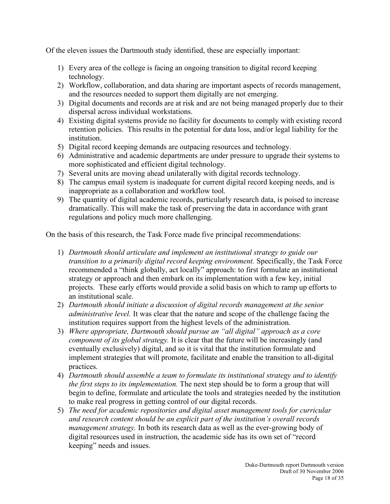Of the eleven issues the Dartmouth study identified, these are especially important:

- 1) Every area of the college is facing an ongoing transition to digital record keeping technology.
- 2) Workflow, collaboration, and data sharing are important aspects of records management, and the resources needed to support them digitally are not emerging.
- 3) Digital documents and records are at risk and are not being managed properly due to their dispersal across individual workstations.
- 4) Existing digital systems provide no facility for documents to comply with existing record retention policies. This results in the potential for data loss, and/or legal liability for the institution.
- 5) Digital record keeping demands are outpacing resources and technology.
- 6) Administrative and academic departments are under pressure to upgrade their systems to more sophisticated and efficient digital technology.
- 7) Several units are moving ahead unilaterally with digital records technology.
- 8) The campus email system is inadequate for current digital record keeping needs, and is inappropriate as a collaboration and workflow tool.
- 9) The quantity of digital academic records, particularly research data, is poised to increase dramatically. This will make the task of preserving the data in accordance with grant regulations and policy much more challenging.

On the basis of this research, the Task Force made five principal recommendations:

- 1) *Dartmouth should articulate and implement an institutional strategy to guide our transition to a primarily digital record keeping environment.* Specifically, the Task Force recommended a "think globally, act locally" approach: to first formulate an institutional strategy or approach and then embark on its implementation with a few key, initial projects. These early efforts would provide a solid basis on which to ramp up efforts to an institutional scale.
- 2) *Dartmouth should initiate a discussion of digital records management at the senior administrative level.* It was clear that the nature and scope of the challenge facing the institution requires support from the highest levels of the administration.
- 3) *Where appropriate, Dartmouth should pursue an "all digital" approach as a core component of its global strategy.* It is clear that the future will be increasingly (and eventually exclusively) digital, and so it is vital that the institution formulate and implement strategies that will promote, facilitate and enable the transition to all-digital practices.
- 4) *Dartmouth should assemble a team to formulate its institutional strategy and to identify the first steps to its implementation.* The next step should be to form a group that will begin to define, formulate and articulate the tools and strategies needed by the institution to make real progress in getting control of our digital records.
- 5) *The need for academic repositories and digital asset management tools for curricular and research content should be an explicit part of the institution's overall records management strategy.* In both its research data as well as the ever-growing body of digital resources used in instruction, the academic side has its own set of "record keeping" needs and issues.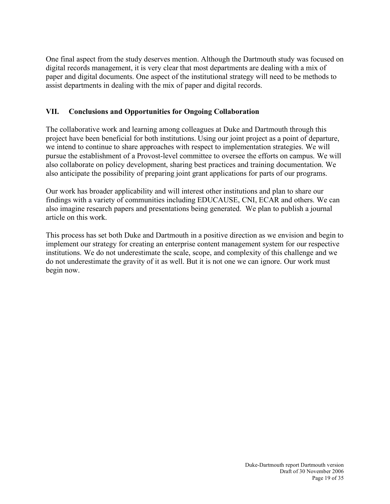One final aspect from the study deserves mention. Although the Dartmouth study was focused on digital records management, it is very clear that most departments are dealing with a mix of paper and digital documents. One aspect of the institutional strategy will need to be methods to assist departments in dealing with the mix of paper and digital records.

## **VII. Conclusions and Opportunities for Ongoing Collaboration**

The collaborative work and learning among colleagues at Duke and Dartmouth through this project have been beneficial for both institutions. Using our joint project as a point of departure, we intend to continue to share approaches with respect to implementation strategies. We will pursue the establishment of a Provost-level committee to oversee the efforts on campus. We will also collaborate on policy development, sharing best practices and training documentation. We also anticipate the possibility of preparing joint grant applications for parts of our programs.

Our work has broader applicability and will interest other institutions and plan to share our findings with a variety of communities including EDUCAUSE, CNI, ECAR and others. We can also imagine research papers and presentations being generated. We plan to publish a journal article on this work.

This process has set both Duke and Dartmouth in a positive direction as we envision and begin to implement our strategy for creating an enterprise content management system for our respective institutions. We do not underestimate the scale, scope, and complexity of this challenge and we do not underestimate the gravity of it as well. But it is not one we can ignore. Our work must begin now.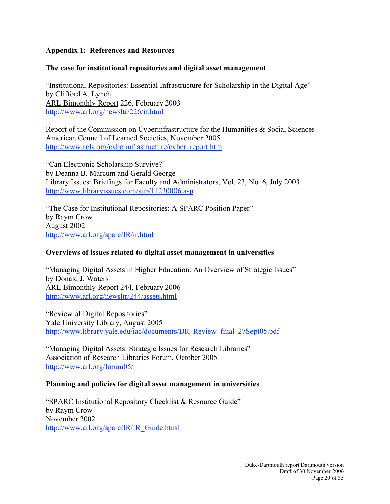## **Appendix 1: References and Resources**

## **The case for institutional repositories and digital asset management**

"Institutional Repositories: Essential Infrastructure for Scholarship in the Digital Age" by Clifford A. Lynch ARL Bimonthly Report 226, February 2003 http://www.arl.org/newsltr/226/ir.html

Report of the Commission on Cyberinfrastructure for the Humanities & Social Sciences American Council of Learned Societies, November 2005 http://www.acls.org/cyberinfrastructure/cyber\_report.htm

"Can Electronic Scholarship Survive?" by Deanna B. Marcum and Gerald George Library Issues: Briefings for Faculty and Administrators, Vol. 23, No. 6, July 2003 http://www.libraryissues.com/sub/LI230006.asp

"The Case for Institutional Repositories: A SPARC Position Paper" by Raym Crow August 2002 http://www.arl.org/sparc/IR/ir.html

### **Overviews of issues related to digital asset management in universities**

"Managing Digital Assets in Higher Education: An Overview of Strategic Issues" by Donald J. Waters ARL Bimonthly Report 244, February 2006 http://www.arl.org/newsltr/244/assets.html

"Review of Digital Repositories" Yale University Library, August 2005 http://www.library.yale.edu/iac/documents/DR\_Review\_final\_27Sept05.pdf

"Managing Digital Assets: Strategic Issues for Research Libraries" Association of Research Libraries Forum, October 2005 http://www.arl.org/forum05/

### **Planning and policies for digital asset management in universities**

"SPARC Institutional Repository Checklist & Resource Guide" by Raym Crow November 2002 http://www.arl.org/sparc/IR/IR\_Guide.html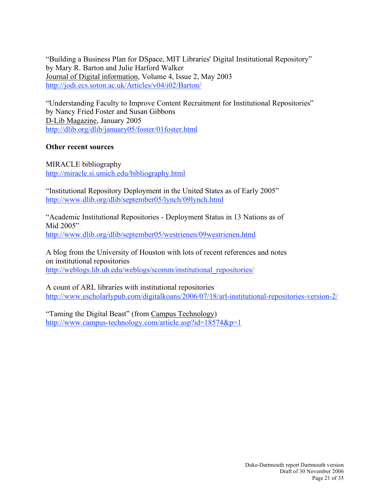"Building a Business Plan for DSpace, MIT Libraries' Digital Institutional Repository" by Mary R. Barton and Julie Harford Walker Journal of Digital information, Volume 4, Issue 2, May 2003 http://jodi.ecs.soton.ac.uk/Articles/v04/i02/Barton/

"Understanding Faculty to Improve Content Recruitment for Institutional Repositories" by Nancy Fried Foster and Susan Gibbons D-Lib Magazine, January 2005 http://dlib.org/dlib/january05/foster/01foster.html

## **Other recent sources**

MIRACLE bibliography http://miracle.si.umich.edu/bibliography.html

"Institutional Repository Deployment in the United States as of Early 2005" http://www.dlib.org/dlib/september05/lynch/09lynch.html

"Academic Institutional Repositories - Deployment Status in 13 Nations as of Mid 2005" http://www.dlib.org/dlib/september05/westrienen/09westrienen.html

A blog from the University of Houston with lots of recent references and notes on institutional repositories http://weblogs.lib.uh.edu/weblogs/scomm/institutional\_repositories/

A count of ARL libraries with institutional repositories http://www.escholarlypub.com/digitalkoans/2006/07/18/arl-institutional-repositories-version-2/

"Taming the Digital Beast" (from Campus Technology) http://www.campus-technology.com/article.asp?id=18574&p=1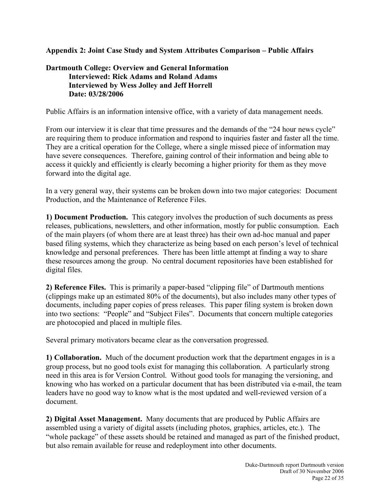## **Appendix 2: Joint Case Study and System Attributes Comparison – Public Affairs**

# **Dartmouth College: Overview and General Information Interviewed: Rick Adams and Roland Adams Interviewed by Wess Jolley and Jeff Horrell Date: 03/28/2006**

Public Affairs is an information intensive office, with a variety of data management needs.

From our interview it is clear that time pressures and the demands of the "24 hour news cycle" are requiring them to produce information and respond to inquiries faster and faster all the time. They are a critical operation for the College, where a single missed piece of information may have severe consequences. Therefore, gaining control of their information and being able to access it quickly and efficiently is clearly becoming a higher priority for them as they move forward into the digital age.

In a very general way, their systems can be broken down into two major categories: Document Production, and the Maintenance of Reference Files.

**1) Document Production.** This category involves the production of such documents as press releases, publications, newsletters, and other information, mostly for public consumption. Each of the main players (of whom there are at least three) has their own ad-hoc manual and paper based filing systems, which they characterize as being based on each person's level of technical knowledge and personal preferences. There has been little attempt at finding a way to share these resources among the group. No central document repositories have been established for digital files.

**2) Reference Files.** This is primarily a paper-based "clipping file" of Dartmouth mentions (clippings make up an estimated 80% of the documents), but also includes many other types of documents, including paper copies of press releases. This paper filing system is broken down into two sections: "People" and "Subject Files". Documents that concern multiple categories are photocopied and placed in multiple files.

Several primary motivators became clear as the conversation progressed.

**1) Collaboration.** Much of the document production work that the department engages in is a group process, but no good tools exist for managing this collaboration. A particularly strong need in this area is for Version Control. Without good tools for managing the versioning, and knowing who has worked on a particular document that has been distributed via e-mail, the team leaders have no good way to know what is the most updated and well-reviewed version of a document.

**2) Digital Asset Management.** Many documents that are produced by Public Affairs are assembled using a variety of digital assets (including photos, graphics, articles, etc.). The "whole package" of these assets should be retained and managed as part of the finished product, but also remain available for reuse and redeployment into other documents.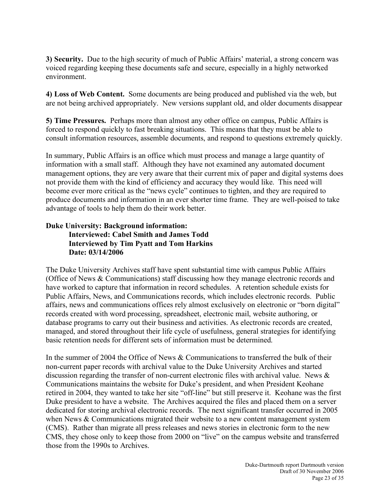**3) Security.** Due to the high security of much of Public Affairs' material, a strong concern was voiced regarding keeping these documents safe and secure, especially in a highly networked environment.

**4) Loss of Web Content.** Some documents are being produced and published via the web, but are not being archived appropriately. New versions supplant old, and older documents disappear

**5) Time Pressures.** Perhaps more than almost any other office on campus, Public Affairs is forced to respond quickly to fast breaking situations. This means that they must be able to consult information resources, assemble documents, and respond to questions extremely quickly.

In summary, Public Affairs is an office which must process and manage a large quantity of information with a small staff. Although they have not examined any automated document management options, they are very aware that their current mix of paper and digital systems does not provide them with the kind of efficiency and accuracy they would like. This need will become ever more critical as the "news cycle" continues to tighten, and they are required to produce documents and information in an ever shorter time frame. They are well-poised to take advantage of tools to help them do their work better.

### **Duke University: Background information: Interviewed: Cabel Smith and James Todd Interviewed by Tim Pyatt and Tom Harkins Date: 03/14/2006**

The Duke University Archives staff have spent substantial time with campus Public Affairs (Office of News & Communications) staff discussing how they manage electronic records and have worked to capture that information in record schedules. A retention schedule exists for Public Affairs, News, and Communications records, which includes electronic records. Public affairs, news and communications offices rely almost exclusively on electronic or "born digital" records created with word processing, spreadsheet, electronic mail, website authoring, or database programs to carry out their business and activities. As electronic records are created, managed, and stored throughout their life cycle of usefulness, general strategies for identifying basic retention needs for different sets of information must be determined.

In the summer of 2004 the Office of News & Communications to transferred the bulk of their non-current paper records with archival value to the Duke University Archives and started discussion regarding the transfer of non-current electronic files with archival value. News & Communications maintains the website for Duke's president, and when President Keohane retired in 2004, they wanted to take her site "off-line" but still preserve it. Keohane was the first Duke president to have a website. The Archives acquired the files and placed them on a server dedicated for storing archival electronic records. The next significant transfer occurred in 2005 when News & Communications migrated their website to a new content management system (CMS). Rather than migrate all press releases and news stories in electronic form to the new CMS, they chose only to keep those from 2000 on "live" on the campus website and transferred those from the 1990s to Archives.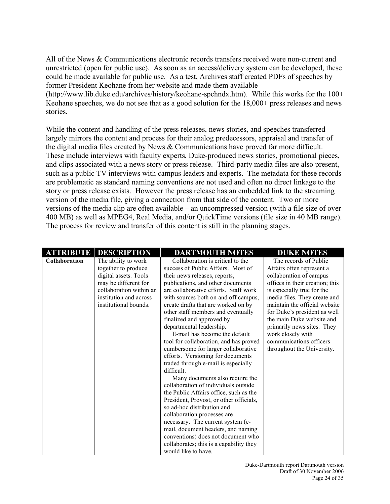All of the News & Communications electronic records transfers received were non-current and unrestricted (open for public use). As soon as an access/delivery system can be developed, these could be made available for public use. As a test, Archives staff created PDFs of speeches by former President Keohane from her website and made them available (http://www.lib.duke.edu/archives/history/keohane-spchndx.htm). While this works for the 100+ Keohane speeches, we do not see that as a good solution for the 18,000+ press releases and news

stories.

While the content and handling of the press releases, news stories, and speeches transferred largely mirrors the content and process for their analog predecessors, appraisal and transfer of the digital media files created by News & Communications have proved far more difficult. These include interviews with faculty experts, Duke-produced news stories, promotional pieces, and clips associated with a news story or press release. Third-party media files are also present, such as a public TV interviews with campus leaders and experts. The metadata for these records are problematic as standard naming conventions are not used and often no direct linkage to the story or press release exists. However the press release has an embedded link to the streaming version of the media file, giving a connection from that side of the content. Two or more versions of the media clip are often available – an uncompressed version (with a file size of over 400 MB) as well as MPEG4, Real Media, and/or QuickTime versions (file size in 40 MB range). The process for review and transfer of this content is still in the planning stages.

| <b>ATTRIBUTE</b>     | <b>DESCRIPTION</b>                                                                                                                                                        | <b>DARTMOUTH NOTES</b>                                                                                                                                                                                                                                                                                                                                                                                                                                                                                                                                                                                                                                                                                                                                                        | <b>DUKE NOTES</b>                                                                                                                                                                                                                                                                                                                                                                        |
|----------------------|---------------------------------------------------------------------------------------------------------------------------------------------------------------------------|-------------------------------------------------------------------------------------------------------------------------------------------------------------------------------------------------------------------------------------------------------------------------------------------------------------------------------------------------------------------------------------------------------------------------------------------------------------------------------------------------------------------------------------------------------------------------------------------------------------------------------------------------------------------------------------------------------------------------------------------------------------------------------|------------------------------------------------------------------------------------------------------------------------------------------------------------------------------------------------------------------------------------------------------------------------------------------------------------------------------------------------------------------------------------------|
| <b>Collaboration</b> | The ability to work<br>together to produce<br>digital assets. Tools<br>may be different for<br>collaboration within an<br>institution and across<br>institutional bounds. | Collaboration is critical to the<br>success of Public Affairs. Most of<br>their news releases, reports,<br>publications, and other documents<br>are collaborative efforts. Staff work<br>with sources both on and off campus,<br>create drafts that are worked on by<br>other staff members and eventually<br>finalized and approved by<br>departmental leadership.<br>E-mail has become the default<br>tool for collaboration, and has proved<br>cumbersome for larger collaborative<br>efforts. Versioning for documents<br>traded through e-mail is especially<br>difficult.<br>Many documents also require the<br>collaboration of individuals outside<br>the Public Affairs office, such as the<br>President, Provost, or other officials,<br>so ad-hoc distribution and | The records of Public<br>Affairs often represent a<br>collaboration of campus<br>offices in their creation; this<br>is especially true for the<br>media files. They create and<br>maintain the official website<br>for Duke's president as well<br>the main Duke website and<br>primarily news sites. They<br>work closely with<br>communications officers<br>throughout the University. |
|                      |                                                                                                                                                                           |                                                                                                                                                                                                                                                                                                                                                                                                                                                                                                                                                                                                                                                                                                                                                                               |                                                                                                                                                                                                                                                                                                                                                                                          |
|                      |                                                                                                                                                                           | collaboration processes are<br>necessary. The current system (e-<br>mail, document headers, and naming<br>conventions) does not document who<br>collaborates; this is a capability they<br>would like to have.                                                                                                                                                                                                                                                                                                                                                                                                                                                                                                                                                                |                                                                                                                                                                                                                                                                                                                                                                                          |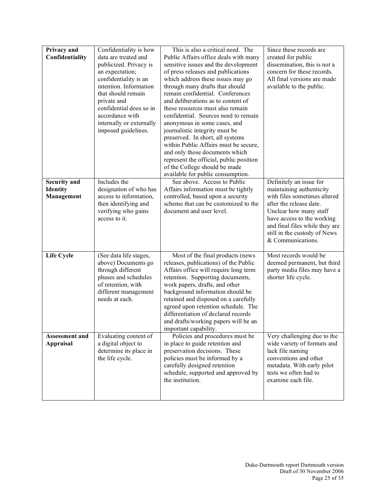| Privacy and           | Confidentiality is how                     | This is also a critical need. The                                        | Since these records are        |
|-----------------------|--------------------------------------------|--------------------------------------------------------------------------|--------------------------------|
| Confidentiality       | data are treated and                       | Public Affairs office deals with many                                    | created for public             |
|                       | publicized. Privacy is                     | sensitive issues and the development                                     | dissemination, this is not a   |
|                       | an expectation;                            | of press releases and publications                                       | concern for these records.     |
|                       | confidentiality is an                      | which address these issues may go                                        | All final versions are made    |
|                       | intention. Information                     | through many drafts that should                                          | available to the public.       |
|                       | that should remain                         | remain confidential. Conferences                                         |                                |
|                       | private and                                | and deliberations as to content of                                       |                                |
|                       | confidential does so in                    | these resources must also remain                                         |                                |
|                       | accordance with                            | confidential. Sources need to remain                                     |                                |
|                       | internally or externally                   | anonymous in some cases, and                                             |                                |
|                       | imposed guidelines.                        | journalistic integrity must be                                           |                                |
|                       |                                            | preserved. In short, all systems                                         |                                |
|                       |                                            | within Public Affairs must be secure,                                    |                                |
|                       |                                            | and only those documents which                                           |                                |
|                       |                                            | represent the official, public position<br>of the College should be made |                                |
|                       |                                            | available for public consumption.                                        |                                |
| <b>Security and</b>   | Includes the                               | See above. Access to Public                                              | Definitely an issue for        |
| <b>Identity</b>       | designation of who has                     | Affairs information must be tightly                                      | maintaining authenticity       |
| Management            | access to information,                     | controlled, based upon a security                                        | with files sometimes altered   |
|                       | then identifying and                       | scheme that can be customized to the                                     | after the release date.        |
|                       | verifying who gains                        | document and user level.                                                 | Unclear how many staff         |
|                       | access to it.                              |                                                                          | have access to the working     |
|                       |                                            |                                                                          | and final files while they are |
|                       |                                            |                                                                          | still in the custody of News   |
|                       |                                            |                                                                          | & Communications.              |
|                       |                                            |                                                                          |                                |
| <b>Life Cycle</b>     | (See data life stages,                     | Most of the final products (news                                         | Most records would be          |
|                       | above) Documents go                        | releases, publications) of the Public                                    | deemed permanent, but third    |
|                       | through different                          | Affairs office will require long term                                    | party media files may have a   |
|                       | phases and schedules                       | retention. Supporting documents,                                         | shorter life cycle.            |
|                       | of retention, with<br>different management | work papers, drafts, and other<br>background information should be       |                                |
|                       | needs at each.                             | retained and disposed on a carefully                                     |                                |
|                       |                                            | agreed upon retention schedule. The                                      |                                |
|                       |                                            | differentiation of declared records                                      |                                |
|                       |                                            | and drafts/working papers will be an                                     |                                |
|                       |                                            | important capability.                                                    |                                |
| <b>Assessment and</b> | Evaluating content of                      | Policies and procedures must be                                          | Very challenging due to the    |
| <b>Appraisal</b>      | a digital object to                        | in place to guide retention and                                          | wide variety of formats and    |
|                       | determine its place in                     | preservation decisions. These                                            | lack file naming               |
|                       | the life cycle.                            | policies must be informed by a                                           | conventions and other          |
|                       |                                            | carefully designed retention                                             | metadata. With early pilot     |
|                       |                                            | schedule, supported and approved by                                      | tests we often had to          |
|                       |                                            | the institution.                                                         | examine each file.             |
|                       |                                            |                                                                          |                                |
|                       |                                            |                                                                          |                                |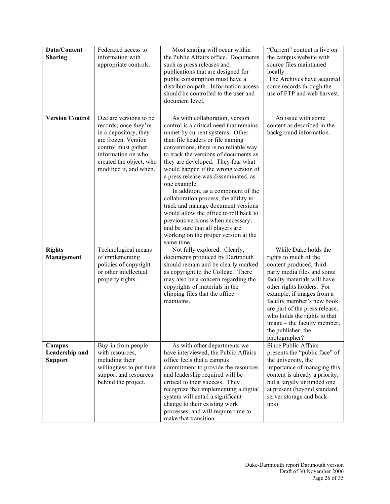| Data/Content           | Federated access to                               | Most sharing will occur within                                               | "Current" content is live on                                  |
|------------------------|---------------------------------------------------|------------------------------------------------------------------------------|---------------------------------------------------------------|
| <b>Sharing</b>         | information with                                  | the Public Affairs office. Documents                                         | the campus website with                                       |
|                        | appropriate controls.                             | such as press releases and<br>publications that are designed for             | source files maintained<br>locally.                           |
|                        |                                                   | public consumption must have a                                               | The Archives have acquired                                    |
|                        |                                                   | distribution path. Information access                                        | some records through the                                      |
|                        |                                                   | should be controlled to the user and                                         | use of FTP and web harvest.                                   |
|                        |                                                   | document level.                                                              |                                                               |
| <b>Version Control</b> | Declare versions to be                            | As with collaboration, version                                               | An issue with some                                            |
|                        | records; once they're                             | control is a critical need that remains                                      | content as described in the                                   |
|                        | in a depository, they<br>are frozen. Version      | unmet by current systems. Other<br>than file headers or file naming          | background information.                                       |
|                        | control must gather                               | conventions, there is no reliable way                                        |                                                               |
|                        | information on who                                | to track the versions of documents as                                        |                                                               |
|                        | created the object, who                           | they are developed. They fear what                                           |                                                               |
|                        | modified it, and when.                            | would happen if the wrong version of<br>a press release was disseminated, as |                                                               |
|                        |                                                   | one example.                                                                 |                                                               |
|                        |                                                   | In addition, as a component of the                                           |                                                               |
|                        |                                                   | collaboration process, the ability to<br>track and manage document versions  |                                                               |
|                        |                                                   | would allow the office to roll back to                                       |                                                               |
|                        |                                                   | previous versions when necessary,                                            |                                                               |
|                        |                                                   | and be sure that all players are                                             |                                                               |
|                        |                                                   | working on the proper version at the<br>same time.                           |                                                               |
| <b>Rights</b>          | Technological means                               | Not fully explored. Clearly,                                                 | While Duke holds the                                          |
| Management             | of implementing                                   | documents produced by Dartmouth                                              | rights to much of the                                         |
|                        | policies of copyright<br>or other intellectual    | should remain and be clearly marked<br>as copyright to the College. There    | content produced, third-<br>party media files and some        |
|                        | property rights.                                  | may also be a concern regarding the                                          | faculty materials will have                                   |
|                        |                                                   | copyrights of materials in the                                               | other rights holders. For                                     |
|                        |                                                   | clipping files that the office                                               | example, if images from a                                     |
|                        |                                                   | maintains.                                                                   | faculty member's new book<br>are part of the press release,   |
|                        |                                                   |                                                                              | who holds the rights to that                                  |
|                        |                                                   |                                                                              | image – the faculty member,                                   |
|                        |                                                   |                                                                              | the publisher, the<br>photographer?                           |
| Campus                 | Buy-in from people                                | As with other departments we                                                 | Since Public Affairs                                          |
| Leadership and         | with resources,                                   | have interviewed, the Public Affairs                                         | presents the "public face" of                                 |
| <b>Support</b>         | including their                                   | office feels that a campus                                                   | the university, the                                           |
|                        | willingness to put their<br>support and resources | commitment to provide the resources<br>and leadership required will be       | importance of managing this<br>content is already a priority, |
|                        | behind the project.                               | critical to their success. They                                              | but a largely unfunded one                                    |
|                        |                                                   | recognize that implementing a digital                                        | at present (beyond standard                                   |
|                        |                                                   | system will entail a significant<br>change to their existing work            | server storage and back-<br>ups).                             |
|                        |                                                   | processes, and will require time to                                          |                                                               |
|                        |                                                   | make that transition.                                                        |                                                               |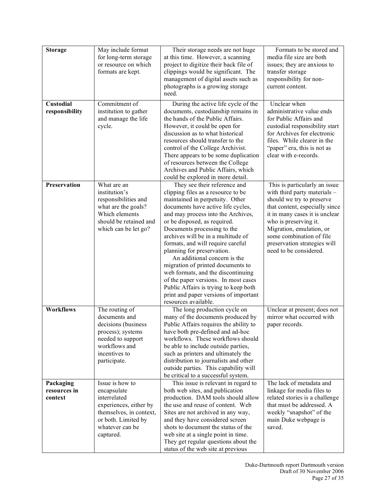| <b>Storage</b>      | May include format      | Their storage needs are not huge       | Formats to be stored and       |
|---------------------|-------------------------|----------------------------------------|--------------------------------|
|                     | for long-term storage   | at this time. However, a scanning      | media file size are both       |
|                     | or resource on which    | project to digitize their back file of | issues; they are anxious to    |
|                     | formats are kept.       | clippings would be significant. The    | transfer storage               |
|                     |                         |                                        |                                |
|                     |                         | management of digital assets such as   | responsibility for non-        |
|                     |                         | photographs is a growing storage       | current content.               |
|                     |                         | need.                                  |                                |
| <b>Custodial</b>    | Commitment of           | During the active life cycle of the    | Unclear when                   |
| responsibility      | institution to gather   | documents, custodianship remains in    | administrative value ends      |
|                     | and manage the life     | the hands of the Public Affairs.       | for Public Affairs and         |
|                     | cycle.                  | However, it could be open for          | custodial responsibility start |
|                     |                         | discussion as to what historical       | for Archives for electronic    |
|                     |                         | resources should transfer to the       | files. While clearer in the    |
|                     |                         | control of the College Archivist.      | "paper" era, this is not as    |
|                     |                         | There appears to be some duplication   | clear with e-records.          |
|                     |                         | of resources between the College       |                                |
|                     |                         | Archives and Public Affairs, which     |                                |
|                     |                         |                                        |                                |
| <b>Preservation</b> |                         | could be explored in more detail.      |                                |
|                     | What are an             | They see their reference and           | This is particularly an issue  |
|                     | institution's           | clipping files as a resource to be     | with third party materials -   |
|                     | responsibilities and    | maintained in perpetuity. Other        | should we try to preserve      |
|                     | what are the goals?     | documents have active life cycles,     | that content, especially since |
|                     | Which elements          | and may process into the Archives,     | it in many cases it is unclear |
|                     | should be retained and  | or be disposed, as required.           | who is preserving it.          |
|                     | which can be let go?    | Documents processing to the            | Migration, emulation, or       |
|                     |                         | archives will be in a multitude of     | some combination of file       |
|                     |                         | formats, and will require careful      | preservation strategies will   |
|                     |                         | planning for preservation.             | need to be considered.         |
|                     |                         | An additional concern is the           |                                |
|                     |                         | migration of printed documents to      |                                |
|                     |                         | web formats, and the discontinuing     |                                |
|                     |                         | of the paper versions. In most cases   |                                |
|                     |                         | Public Affairs is trying to keep both  |                                |
|                     |                         | print and paper versions of important  |                                |
|                     |                         | resources available.                   |                                |
| <b>Workflows</b>    | The routing of          | The long production cycle on           | Unclear at present; does not   |
|                     | documents and           | many of the documents produced by      | mirror what occurred with      |
|                     | decisions (business     | Public Affairs requires the ability to | paper records.                 |
|                     | process); systems       | have both pre-defined and ad-hoc       |                                |
|                     | needed to support       | workflows. These workflows should      |                                |
|                     | workflows and           | be able to include outside parties,    |                                |
|                     | incentives to           | such as printers and ultimately the    |                                |
|                     | participate.            | distribution to journalists and other  |                                |
|                     |                         | outside parties. This capability will  |                                |
|                     |                         | be critical to a successful system.    |                                |
| Packaging           | Issue is how to         | This issue is relevant in regard to    | The lack of metadata and       |
| resources in        | encapsulate             | both web sites, and publication        | linkage for media files to     |
| context             | interrelated            | production. DAM tools should allow     | related stories is a challenge |
|                     | experiences, either by  | the use and reuse of content. Web      | that must be addressed. A      |
|                     | themselves, in context, | Sites are not archived in any way,     | weekly "snapshot" of the       |
|                     | or both. Limited by     | and they have considered screen        | main Duke webpage is           |
|                     | whatever can be         | shots to document the status of the    | saved.                         |
|                     | captured.               | web site at a single point in time.    |                                |
|                     |                         | They get regular questions about the   |                                |
|                     |                         | status of the web site at previous     |                                |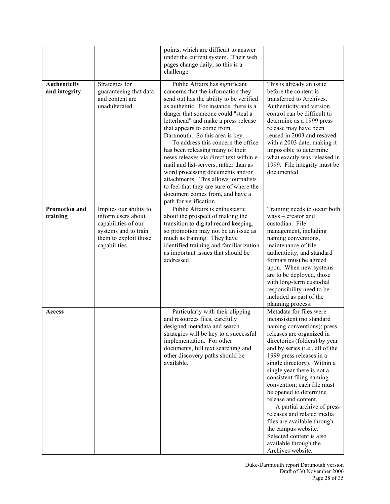|                                  |                                                                                                                                       | points, which are difficult to answer<br>under the current system. Their web<br>pages change daily, so this is a<br>challenge.                                                                                                                                                                                                                                                                                                                                                                                                                                                                                                                            |                                                                                                                                                                                                                                                                                                                                                                                                                                                                                                                                                                                      |
|----------------------------------|---------------------------------------------------------------------------------------------------------------------------------------|-----------------------------------------------------------------------------------------------------------------------------------------------------------------------------------------------------------------------------------------------------------------------------------------------------------------------------------------------------------------------------------------------------------------------------------------------------------------------------------------------------------------------------------------------------------------------------------------------------------------------------------------------------------|--------------------------------------------------------------------------------------------------------------------------------------------------------------------------------------------------------------------------------------------------------------------------------------------------------------------------------------------------------------------------------------------------------------------------------------------------------------------------------------------------------------------------------------------------------------------------------------|
| Authenticity<br>and integrity    | Strategies for<br>guaranteeing that data<br>and content are<br>unadulterated.                                                         | Public Affairs has significant<br>concerns that the information they<br>send out has the ability to be verified<br>as authentic. For instance, there is a<br>danger that someone could "steal a<br>letterhead" and make a press release<br>that appears to come from<br>Dartmouth. So this area is key.<br>To address this concern the office<br>has been releasing many of their<br>news releases via direct text within e-<br>mail and list-servers, rather than as<br>word processing documents and/or<br>attachments. This allows journalists<br>to feel that they are sure of where the<br>document comes from, and have a<br>path for verification. | This is already an issue<br>before the content is<br>transferred to Archives.<br>Authenticity and version<br>control can be difficult to<br>determine as a 1999 press<br>release may have been<br>reused in 2003 and resaved<br>with a 2003 date, making it<br>impossible to determine<br>what exactly was released in<br>1999. File integrity must be<br>documented.                                                                                                                                                                                                                |
| <b>Promotion and</b><br>training | Implies our ability to<br>inform users about<br>capabilities of our<br>systems and to train<br>them to exploit those<br>capabilities. | Public Affairs is enthusiastic<br>about the prospect of making the<br>transition to digital record keeping,<br>so promotion may not be an issue as<br>much as training. They have<br>identified training and familiarization<br>as important issues that should be<br>addressed.                                                                                                                                                                                                                                                                                                                                                                          | Training needs to occur both<br>ways - creator and<br>custodian. File<br>management, including<br>naming conventions,<br>maintenance of file<br>authenticity, and standard<br>formats must be agreed<br>upon. When new systems<br>are to be deployed, those<br>with long-term custodial<br>responsibility need to be<br>included as part of the<br>planning process.                                                                                                                                                                                                                 |
| <b>Access</b>                    |                                                                                                                                       | Particularly with their clipping<br>and resources files, carefully<br>designed metadata and search<br>strategies will be key to a successful<br>implementation. For other<br>documents, full text searching and<br>other discovery paths should be<br>available.                                                                                                                                                                                                                                                                                                                                                                                          | Metadata for files were<br>inconsistent (no standard<br>naming conventions); press<br>releases are organized in<br>directories (folders) by year<br>and by series (i.e., all of the<br>1999 press releases in a<br>single directory). Within a<br>single year there is not a<br>consistent filing naming<br>convention; each file must<br>be opened to determine<br>release and content.<br>A partial archive of press<br>releases and related media<br>files are available through<br>the campus website.<br>Selected content is also<br>available through the<br>Archives website. |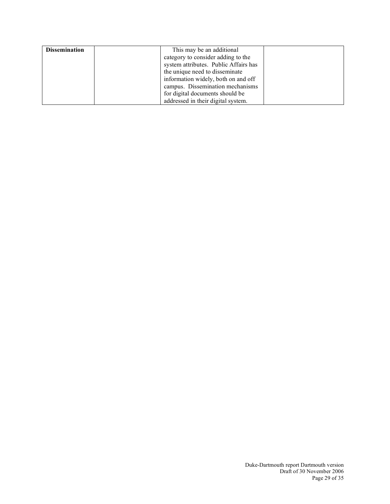| <b>Dissemination</b> | This may be an additional             |
|----------------------|---------------------------------------|
|                      | category to consider adding to the    |
|                      | system attributes. Public Affairs has |
|                      | the unique need to disseminate        |
|                      | information widely, both on and off   |
|                      | campus. Dissemination mechanisms      |
|                      | for digital documents should be       |
|                      | addressed in their digital system.    |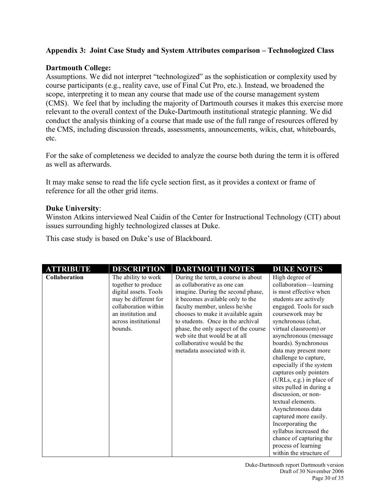# **Appendix 3: Joint Case Study and System Attributes comparison – Technologized Class**

# **Dartmouth College:**

Assumptions. We did not interpret "technologized" as the sophistication or complexity used by course participants (e.g., reality cave, use of Final Cut Pro, etc.). Instead, we broadened the scope, interpreting it to mean any course that made use of the course management system (CMS). We feel that by including the majority of Dartmouth courses it makes this exercise more relevant to the overall context of the Duke-Dartmouth institutional strategic planning. We did conduct the analysis thinking of a course that made use of the full range of resources offered by the CMS, including discussion threads, assessments, announcements, wikis, chat, whiteboards, etc.

For the sake of completeness we decided to analyze the course both during the term it is offered as well as afterwards.

It may make sense to read the life cycle section first, as it provides a context or frame of reference for all the other grid items.

### **Duke University**:

Winston Atkins interviewed Neal Caidin of the Center for Instructional Technology (CIT) about issues surrounding highly technologized classes at Duke.

This case study is based on Duke's use of Blackboard.

| <b>ATTRIBUTE</b> | <b>DESCRIPTION</b>                                                                                                                                                           | <b>DARTMOUTH NOTES</b>                                                                                                                                                                                                                                                                                                                                                                        | <b>DUKE NOTES</b>                                                                                                                                                                                                                                                                                                                                                                                                                                                                                                                                                                                                                 |
|------------------|------------------------------------------------------------------------------------------------------------------------------------------------------------------------------|-----------------------------------------------------------------------------------------------------------------------------------------------------------------------------------------------------------------------------------------------------------------------------------------------------------------------------------------------------------------------------------------------|-----------------------------------------------------------------------------------------------------------------------------------------------------------------------------------------------------------------------------------------------------------------------------------------------------------------------------------------------------------------------------------------------------------------------------------------------------------------------------------------------------------------------------------------------------------------------------------------------------------------------------------|
| Collaboration    | The ability to work<br>together to produce<br>digital assets. Tools<br>may be different for<br>collaboration within<br>an institution and<br>across institutional<br>bounds. | During the term, a course is about<br>as collaborative as one can<br>imagine. During the second phase,<br>it becomes available only to the<br>faculty member, unless he/she<br>chooses to make it available again<br>to students. Once in the archival<br>phase, the only aspect of the course<br>web site that would be at all<br>collaborative would be the<br>metadata associated with it. | High degree of<br>collaboration-learning<br>is most effective when<br>students are actively<br>engaged. Tools for such<br>coursework may be<br>synchronous (chat,<br>virtual classroom) or<br>asynchronous (message<br>boards). Synchronous<br>data may present more<br>challenge to capture,<br>especially if the system<br>captures only pointers<br>(URLs, e.g.) in place of<br>sites pulled in during a<br>discussion, or non-<br>textual elements.<br>Asynchronous data<br>captured more easily.<br>Incorporating the<br>syllabus increased the<br>chance of capturing the<br>process of learning<br>within the structure of |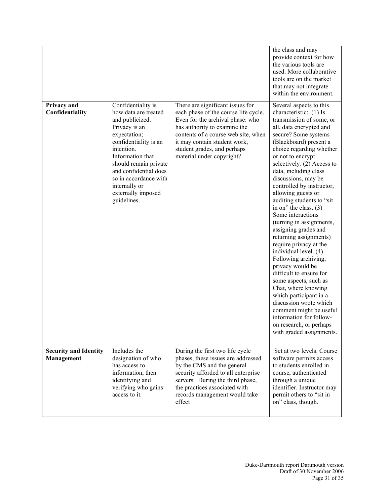|                                            |                                                                                                                                                                                                                                                                                            |                                                                                                                                                                                                                                                                                 | the class and may<br>provide context for how<br>the various tools are<br>used. More collaborative<br>tools are on the market<br>that may not integrate<br>within the environment.                                                                                                                                                                                                                                                                                                                                                                                                                                                                                                                                                                                                                                                                    |
|--------------------------------------------|--------------------------------------------------------------------------------------------------------------------------------------------------------------------------------------------------------------------------------------------------------------------------------------------|---------------------------------------------------------------------------------------------------------------------------------------------------------------------------------------------------------------------------------------------------------------------------------|------------------------------------------------------------------------------------------------------------------------------------------------------------------------------------------------------------------------------------------------------------------------------------------------------------------------------------------------------------------------------------------------------------------------------------------------------------------------------------------------------------------------------------------------------------------------------------------------------------------------------------------------------------------------------------------------------------------------------------------------------------------------------------------------------------------------------------------------------|
| Privacy and<br>Confidentiality             | Confidentiality is<br>how data are treated<br>and publicized.<br>Privacy is an<br>expectation;<br>confidentiality is an<br>intention.<br>Information that<br>should remain private<br>and confidential does<br>so in accordance with<br>internally or<br>externally imposed<br>guidelines. | There are significant issues for<br>each phase of the course life cycle.<br>Even for the archival phase: who<br>has authority to examine the<br>contents of a course web site, when<br>it may contain student work,<br>student grades, and perhaps<br>material under copyright? | Several aspects to this<br>characteristic: (1) Is<br>transmission of some, or<br>all, data encrypted and<br>secure? Some systems<br>(Blackboard) present a<br>choice regarding whether<br>or not to encrypt<br>selectively. $(2)$ Access to<br>data, including class<br>discussions, may be<br>controlled by instructor,<br>allowing guests or<br>auditing students to "sit<br>in on" the class. $(3)$<br>Some interactions<br>(turning in assignments,<br>assigning grades and<br>returning assignments)<br>require privacy at the<br>individual level. (4)<br>Following archiving,<br>privacy would be<br>difficult to ensure for<br>some aspects, such as<br>Chat, where knowing<br>which participant in a<br>discussion wrote which<br>comment might be useful<br>information for follow-<br>on research, or perhaps<br>with graded assignments. |
| <b>Security and Identity</b><br>Management | Includes the<br>designation of who<br>has access to<br>information, then<br>identifying and<br>verifying who gains<br>access to it.                                                                                                                                                        | During the first two life cycle<br>phases, these issues are addressed<br>by the CMS and the general<br>security afforded to all enterprise<br>servers. During the third phase,<br>the practices associated with<br>records management would take<br>effect                      | Set at two levels. Course<br>software permits access<br>to students enrolled in<br>course, authenticated<br>through a unique<br>identifier. Instructor may<br>permit others to "sit in<br>on" class, though.                                                                                                                                                                                                                                                                                                                                                                                                                                                                                                                                                                                                                                         |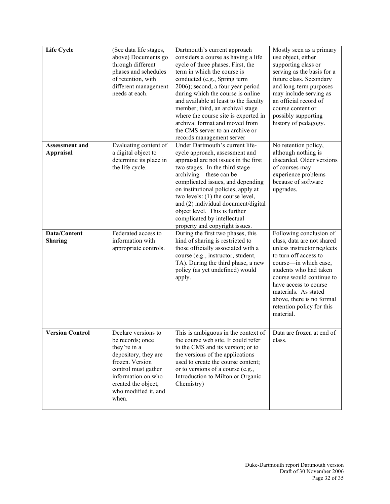| <b>Life Cycle</b>                         | (See data life stages,<br>above) Documents go<br>through different<br>phases and schedules<br>of retention, with<br>different management<br>needs at each.                                              | Dartmouth's current approach<br>considers a course as having a life<br>cycle of three phases. First, the<br>term in which the course is<br>conducted (e.g., Spring term<br>2006); second, a four year period<br>during which the course is online<br>and available at least to the faculty<br>member; third, an archival stage<br>where the course site is exported in<br>archival format and moved from<br>the CMS server to an archive or<br>records management server | Mostly seen as a primary<br>use object, either<br>supporting class or<br>serving as the basis for a<br>future class. Secondary<br>and long-term purposes<br>may include serving as<br>an official record of<br>course content or<br>possibly supporting<br>history of pedagogy.                                     |
|-------------------------------------------|---------------------------------------------------------------------------------------------------------------------------------------------------------------------------------------------------------|--------------------------------------------------------------------------------------------------------------------------------------------------------------------------------------------------------------------------------------------------------------------------------------------------------------------------------------------------------------------------------------------------------------------------------------------------------------------------|---------------------------------------------------------------------------------------------------------------------------------------------------------------------------------------------------------------------------------------------------------------------------------------------------------------------|
| <b>Assessment and</b><br><b>Appraisal</b> | Evaluating content of<br>a digital object to<br>determine its place in<br>the life cycle.                                                                                                               | Under Dartmouth's current life-<br>cycle approach, assessment and<br>appraisal are not issues in the first<br>two stages. In the third stage—<br>archiving-these can be<br>complicated issues, and depending<br>on institutional policies, apply at<br>two levels: $(1)$ the course level,<br>and (2) individual document/digital<br>object level. This is further<br>complicated by intellectual<br>property and copyright issues.                                      | No retention policy,<br>although nothing is<br>discarded. Older versions<br>of courses may<br>experience problems<br>because of software<br>upgrades.                                                                                                                                                               |
| Data/Content<br><b>Sharing</b>            | Federated access to<br>information with<br>appropriate controls.                                                                                                                                        | During the first two phases, this<br>kind of sharing is restricted to<br>those officially associated with a<br>course (e.g., instructor, student,<br>TA). During the third phase, a new<br>policy (as yet undefined) would<br>apply.                                                                                                                                                                                                                                     | Following conclusion of<br>class, data are not shared<br>unless instructor neglects<br>to turn off access to<br>course—in which case,<br>students who had taken<br>course would continue to<br>have access to course<br>materials. As stated<br>above, there is no formal<br>retention policy for this<br>material. |
| <b>Version Control</b>                    | Declare versions to<br>be records; once<br>they're in a<br>depository, they are<br>frozen. Version<br>control must gather<br>information on who<br>created the object,<br>who modified it, and<br>when. | This is ambiguous in the context of<br>the course web site. It could refer<br>to the CMS and its version; or to<br>the versions of the applications<br>used to create the course content;<br>or to versions of a course (e.g.,<br>Introduction to Milton or Organic<br>Chemistry)                                                                                                                                                                                        | Data are frozen at end of<br>class.                                                                                                                                                                                                                                                                                 |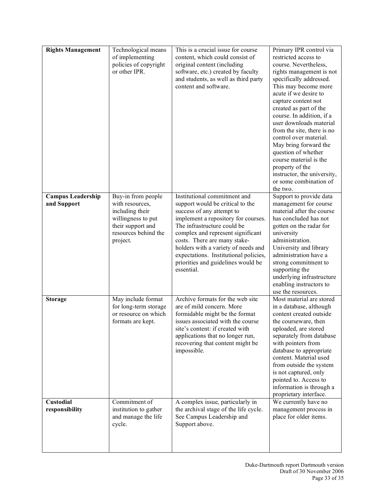| <b>Rights Management</b>                | Technological means<br>of implementing<br>policies of copyright<br>or other IPR.                                                        | This is a crucial issue for course<br>content, which could consist of<br>original content (including<br>software, etc.) created by faculty<br>and students, as well as third party<br>content and software.                                                                                                                                                                  | Primary IPR control via<br>restricted access to<br>course. Nevertheless,<br>rights management is not<br>specifically addressed.<br>This may become more<br>acute if we desire to<br>capture content not<br>created as part of the<br>course. In addition, if a<br>user downloads material<br>from the site, there is no<br>control over material.<br>May bring forward the<br>question of whether<br>course material is the<br>property of the<br>instructor, the university,<br>or some combination of<br>the two. |
|-----------------------------------------|-----------------------------------------------------------------------------------------------------------------------------------------|------------------------------------------------------------------------------------------------------------------------------------------------------------------------------------------------------------------------------------------------------------------------------------------------------------------------------------------------------------------------------|---------------------------------------------------------------------------------------------------------------------------------------------------------------------------------------------------------------------------------------------------------------------------------------------------------------------------------------------------------------------------------------------------------------------------------------------------------------------------------------------------------------------|
| <b>Campus Leadership</b><br>and Support | Buy-in from people<br>with resources,<br>including their<br>willingness to put<br>their support and<br>resources behind the<br>project. | Institutional commitment and<br>support would be critical to the<br>success of any attempt to<br>implement a repository for courses.<br>The infrastructure could be<br>complex and represent significant<br>costs. There are many stake-<br>holders with a variety of needs and<br>expectations. Institutional policies,<br>priorities and guidelines would be<br>essential. | Support to provide data<br>management for course<br>material after the course<br>has concluded has not<br>gotten on the radar for<br>university<br>administration.<br>University and library<br>administration have a<br>strong commitment to<br>supporting the<br>underlying infrastructure<br>enabling instructors to<br>use the resources.                                                                                                                                                                       |
| <b>Storage</b>                          | May include format<br>for long-term storage<br>or resource on which<br>formats are kept.                                                | Archive formats for the web site<br>are of mild concern. More<br>formidable might be the format<br>issues associated with the course<br>site's content: if created with<br>applications that no longer run,<br>recovering that content might be<br>impossible.                                                                                                               | Most material are stored<br>in a database, although<br>content created outside<br>the courseware, then<br>uploaded, are stored<br>separately from database<br>with pointers from<br>database to appropriate<br>content. Material used<br>from outside the system<br>is not captured, only<br>pointed to. Access to<br>information is through a<br>proprietary interface.                                                                                                                                            |
| <b>Custodial</b><br>responsibility      | Commitment of<br>institution to gather<br>and manage the life<br>cycle.                                                                 | A complex issue, particularly in<br>the archival stage of the life cycle.<br>See Campus Leadership and<br>Support above.                                                                                                                                                                                                                                                     | We currently have no<br>management process in<br>place for older items.                                                                                                                                                                                                                                                                                                                                                                                                                                             |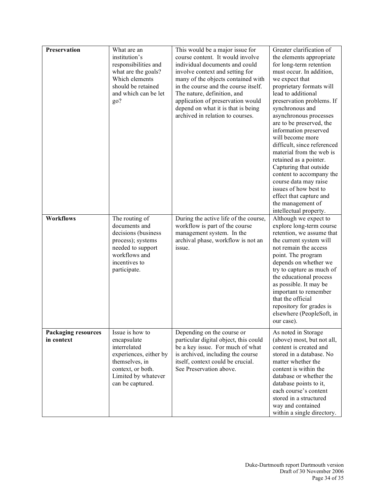| <b>Preservation</b>                      | What are an<br>institution's<br>responsibilities and<br>what are the goals?<br>Which elements<br>should be retained<br>and which can be let<br>go?         | This would be a major issue for<br>course content. It would involve<br>individual documents and could<br>involve context and setting for<br>many of the objects contained with<br>in the course and the course itself.<br>The nature, definition, and<br>application of preservation would<br>depend on what it is that is being<br>archived in relation to courses. | Greater clarification of<br>the elements appropriate<br>for long-term retention<br>must occur. In addition,<br>we expect that<br>proprietary formats will<br>lead to additional<br>preservation problems. If<br>synchronous and<br>asynchronous processes<br>are to be preserved, the<br>information preserved<br>will become more<br>difficult, since referenced<br>material from the web is<br>retained as a pointer.<br>Capturing that outside<br>content to accompany the<br>course data may raise<br>issues of how best to<br>effect that capture and<br>the management of<br>intellectual property. |
|------------------------------------------|------------------------------------------------------------------------------------------------------------------------------------------------------------|----------------------------------------------------------------------------------------------------------------------------------------------------------------------------------------------------------------------------------------------------------------------------------------------------------------------------------------------------------------------|-----------------------------------------------------------------------------------------------------------------------------------------------------------------------------------------------------------------------------------------------------------------------------------------------------------------------------------------------------------------------------------------------------------------------------------------------------------------------------------------------------------------------------------------------------------------------------------------------------------|
| <b>Workflows</b>                         | The routing of<br>documents and<br>decisions (business<br>process); systems<br>needed to support<br>workflows and<br>incentives to<br>participate.         | During the active life of the course,<br>workflow is part of the course<br>management system. In the<br>archival phase, workflow is not an<br>issue.                                                                                                                                                                                                                 | Although we expect to<br>explore long-term course<br>retention, we assume that<br>the current system will<br>not remain the access<br>point. The program<br>depends on whether we<br>try to capture as much of<br>the educational process<br>as possible. It may be<br>important to remember<br>that the official<br>repository for grades is<br>elsewhere (PeopleSoft, in<br>our case).                                                                                                                                                                                                                  |
| <b>Packaging resources</b><br>in context | Issue is how to<br>encapsulate<br>interrelated<br>experiences, either by<br>themselves, in<br>context, or both.<br>Limited by whatever<br>can be captured. | Depending on the course or<br>particular digital object, this could<br>be a key issue. For much of what<br>is archived, including the course<br>itself, context could be crucial.<br>See Preservation above.                                                                                                                                                         | As noted in Storage<br>(above) most, but not all,<br>content is created and<br>stored in a database. No<br>matter whether the<br>content is within the<br>database or whether the<br>database points to it,<br>each course's content<br>stored in a structured<br>way and contained<br>within a single directory.                                                                                                                                                                                                                                                                                         |